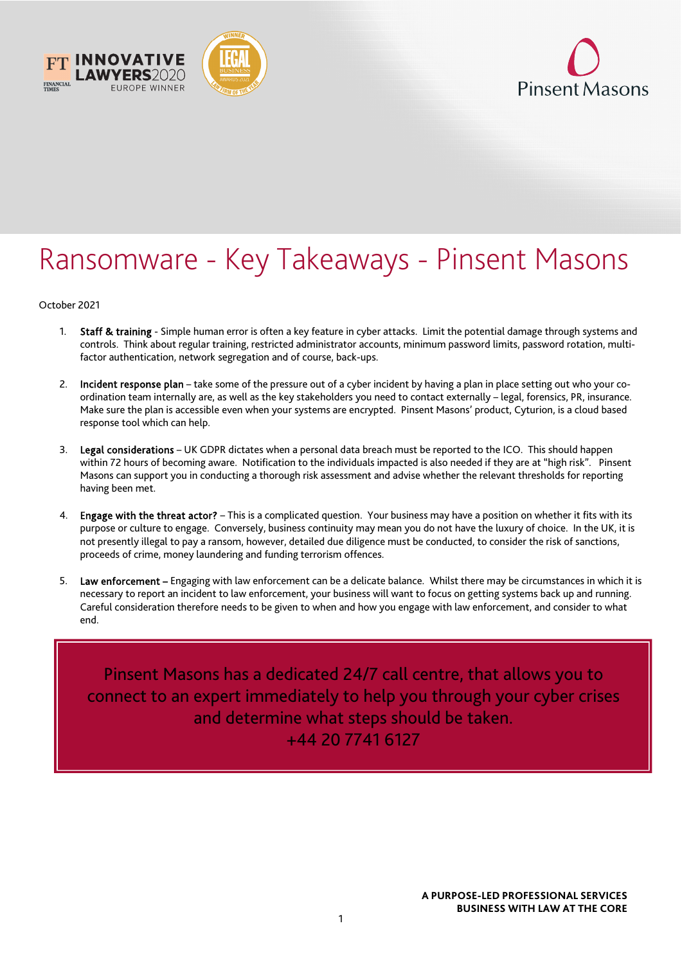



## Ransomware - Key Takeaways - Pinsent Masons

October 2021

- 1. Staff & training Simple human error is often a key feature in cyber attacks. Limit the potential damage through systems and controls. Think about regular training, restricted administrator accounts, minimum password limits, password rotation, multifactor authentication, network segregation and of course, back-ups.
- 2. Incident response plan take some of the pressure out of a cyber incident by having a plan in place setting out who your coordination team internally are, as well as the key stakeholders you need to contact externally – legal, forensics, PR, insurance. Make sure the plan is accessible even when your systems are encrypted. Pinsent Masons' product, Cyturion, is a cloud based response tool which can help.
- 3. Legal considerations UK GDPR dictates when a personal data breach must be reported to the ICO. This should happen within 72 hours of becoming aware. Notification to the individuals impacted is also needed if they are at "high risk". Pinsent Masons can support you in conducting a thorough risk assessment and advise whether the relevant thresholds for reporting having been met.
- 4. Engage with the threat actor? This is a complicated question. Your business may have a position on whether it fits with its purpose or culture to engage. Conversely, business continuity may mean you do not have the luxury of choice. In the UK, it is not presently illegal to pay a ransom, however, detailed due diligence must be conducted, to consider the risk of sanctions, proceeds of crime, money laundering and funding terrorism offences.
- 5. Law enforcement Engaging with law enforcement can be a delicate balance. Whilst there may be circumstances in which it is necessary to report an incident to law enforcement, your business will want to focus on getting systems back up and running. Careful consideration therefore needs to be given to when and how you engage with law enforcement, and consider to what end.

Pinsent Masons has a dedicated 24/7 call centre, that allows you to connect to an expert immediately to help you through your cyber crises and determine what steps should be taken. +44 20 7741 6127